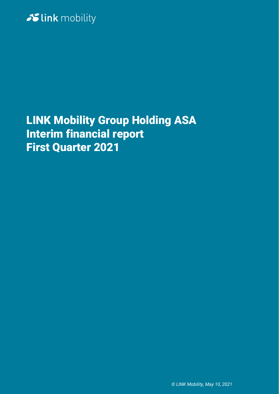

# LINK Mobility Group Holding ASA Interim financial report First Quarter 2021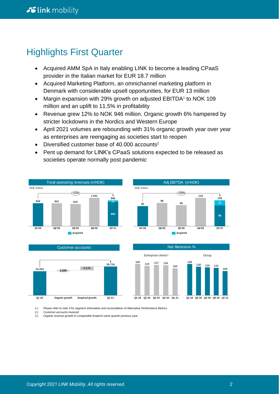# Highlights First Quarter

- Acquired AMM SpA in Italy enabling LINK to become a leading CPaaS provider in the Italian market for EUR 18.7 million
- Acquired Marketing Platform, an omnichannel marketing platform in Denmark with considerable upsell opportunities, for EUR 13 million
- Margin expansion with 29% growth on adjusted EBITDA<sup>1</sup> to NOK 109 million and an uplift to 11.5% in profitability
- Revenue grew 12% to NOK 946 million. Organic growth 6% hampered by stricter lockdowns in the Nordics and Western Europe
- April 2021 volumes are rebounding with 31% organic growth year over year as enterprises are reengaging as societies start to reopen
- Diversified customer base of 40,000 accounts<sup>2</sup>
- Pent up demand for LINK's CPaaS solutions expected to be released as societies operate normally post pandemic



*1.) Please refer to note 3 for segment information and reconciliation of Alternative Performance Metrics* 

*2.) Customer accounts invoiced*

*3.) Organic revenue growth in comparable footprint same quarter previous year*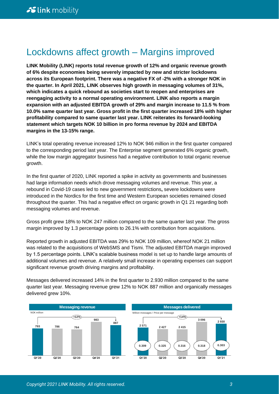# Lockdowns affect growth – Margins improved

**LINK Mobility (LINK) reports total revenue growth of 12% and organic revenue growth of 6% despite economies being severely impacted by new and stricter lockdowns across its European footprint. There was a negative FX of -2% with a stronger NOK in the quarter. In April 2021, LINK observes high growth in messaging volumes of 31%, which indicates a quick rebound as societies start to reopen and enterprises are reengaging activity to a normal operating environment. LINK also reports a margin expansion with an adjusted EBITDA growth of 29% and margin increase to 11.5 % from 10.0% same quarter last year. Gross profit in the first quarter increased 18% with higher profitability compared to same quarter last year. LINK reiterates its forward-looking statement which targets NOK 10 billion in pro forma revenue by 2024 and EBITDA margins in the 13-15% range.**

LINK's total operating revenue increased 12% to NOK 946 million in the first quarter compared to the corresponding period last year. The Enterprise segment generated 6% organic growth, while the low margin aggregator business had a negative contribution to total organic revenue growth.

In the first quarter of 2020, LINK reported a spike in activity as governments and businesses had large information needs which drove messaging volumes and revenue. This year, a rebound in Covid-19 cases led to new government restrictions**,** severe lockdowns were introduced in the Nordics for the first time and Western European societies remained closed throughout the quarter. This had a negative effect on organic growth in Q1 21 regarding both messaging volumes and revenue.

Gross profit grew 18% to NOK 247 million compared to the same quarter last year. The gross margin improved by 1.3 percentage points to 26.1% with contribution from acquisitions.

Reported growth in adjusted EBITDA was 29% to NOK 109 million, whereof NOK 21 million was related to the acquisitions of WebSMS and Tismi. The adjusted EBITDA margin improved by 1.5 percentage points. LINK's scalable business model is set up to handle large amounts of additional volumes and revenue. A relatively small increase in operating expenses can support significant revenue growth driving margins and profitability.

Messages delivered increased 14% in the first quarter to 2.930 million compared to the same quarter last year. Messaging revenue grew 12% to NOK 887 million and organically messages delivered grew 10%.

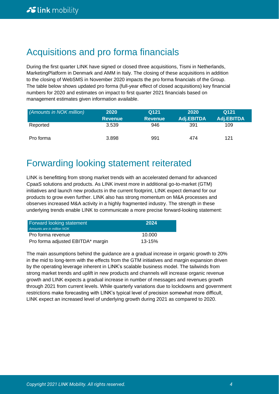# Acquisitions and pro forma financials

During the first quarter LINK have signed or closed three acquisitions, Tismi in Netherlands, MarketingPlatform in Denmark and AMM in Italy. The closing of these acquisitions in addition to the closing of WebSMS in November 2020 impacts the pro forma financials of the Group. The table below shows updated pro forma (full-year effect of closed acquisitions) key financial numbers for 2020 and estimates on impact to first quarter 2021 financials based on management estimates given information available.

| (Amounts in NOK million) | 2020           | Q121           | 2020       | Q121       |
|--------------------------|----------------|----------------|------------|------------|
|                          | <b>Revenue</b> | <b>Revenue</b> | Adj.EBITDA | Adj.EBITDA |
| Reported                 | 3.539          | 946            | 391        | 109        |
| Pro forma                | 3.898          | 991            | 474        | 121        |

# Forwarding looking statement reiterated

LINK is benefitting from strong market trends with an accelerated demand for advanced CpaaS solutions and products. As LINK invest more in additional go-to-market (GTM) initiatives and launch new products in the current footprint, LINK expect demand for our products to grow even further. LINK also has strong momentum on M&A processes and observes increased M&A activity in a highly fragmented industry. The strength in these underlying trends enable LINK to communicate a more precise forward-looking statement:

| <b>Forward looking statement</b><br>Amounts are in million NOK | 2024       |
|----------------------------------------------------------------|------------|
| Pro forma revenue                                              | 10.000     |
| Pro forma adjusted EBITDA* margin                              | $13 - 15%$ |

The main assumptions behind the guidance are a gradual increase in organic growth to 20% in the mid to long-term with the effects from the GTM initiatives and margin expansion driven by the operating leverage inherent in LINK's scalable business model. The tailwinds from strong market trends and uplift in new products and channels will increase organic revenue growth and LINK expects a gradual increase in number of messages and revenues growth through 2021 from current levels. While quarterly variations due to lockdowns and government restrictions make forecasting with LINK's typical level of precision somewhat more difficult, LINK expect an increased level of underlying growth during 2021 as compared to 2020.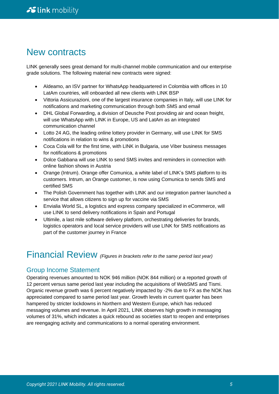# New contracts

LINK generally sees great demand for multi-channel mobile communication and our enterprise grade solutions. The following material new contracts were signed:

- Aldeamo, an ISV partner for WhatsApp headquartered in Colombia with offices in 10 LatAm countries, will onboarded all new clients with LINK BSP
- Vittoria Assicurazioni, one of the largest insurance companies in Italy, will use LINK for notifications and marketing communication through both SMS and email
- DHL Global Forwarding, a division of Deusche Post providing air and ocean freight, will use WhatsApp with LINK in Europe, US and LatAm as an integrated communication channel
- Lotto 24 AG, the leading online lottery provider in Germany, will use LINK for SMS notifications in relation to wins & promotions
- Coca Cola will for the first time, with LINK in Bulgaria, use Viber business messages for notifications & promotions
- Dolce Gabbana will use LINK to send SMS invites and reminders in connection with online fashion shows in Austria
- Orange (Intrum). Orange offer Comunica, a white label of LINK's SMS platform to its customers. Intrum, an Orange customer, is now using Comunica to sends SMS and certified SMS
- The Polish Government has together with LINK and our integration partner launched a service that allows citizens to sign up for vaccine via SMS
- Envialia World SL, a logistics and express company specialized in eCommerce, will use LINK to send delivery notifications in Spain and Portugal
- Ultimile, a last mile software delivery platform, orchestrating deliveries for brands, logistics operators and local service providers will use LINK for SMS notifications as part of the customer journey in France

# Financial Review *(Figures in brackets refer to the same period last year)*

## Group Income Statement

Operating revenues amounted to NOK 946 million (NOK 844 million) or a reported growth of 12 percent versus same period last year including the acquisitions of WebSMS and Tismi. Organic revenue growth was 6 percent negatively impacted by -2% due to FX as the NOK has appreciated compared to same period last year. Growth levels in current quarter has been hampered by stricter lockdowns in Northern and Western Europe, which has reduced messaging volumes and revenue. In April 2021, LINK observes high growth in messaging volumes of 31%, which indicates a quick rebound as societies start to reopen and enterprises are reengaging activity and communications to a normal operating environment.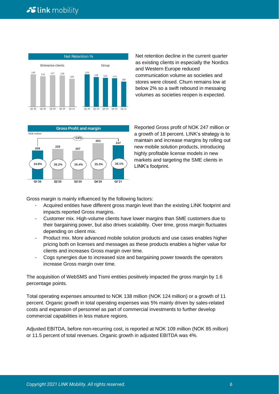

Net retention decline in the current quarter as existing clients in especially the Nordics and Western Europe reduced communication volume as societies and stores were closed. Churn remains low at below 2% so a swift rebound in messaing volumes as societies reopen is expected.



Reported Gross profit of NOK 247 million or a growth of 18 percent. LINK's strategy is to maintain and increase margins by rolling out new mobile solution products, introducing highly profitable license models in new markets and targeting the SME clients in LINK's footprint.

Gross margin is mainly influenced by the following factors:

- Acquired entities have different gross margin level than the existing LINK footprint and impacts reported Gross margins.
- Customer mix. High-volume clients have lower margins than SME customers due to their bargaining power, but also drives scalability. Over time, gross margin fluctuates depending on client mix.
- Product mix. More advanced mobile solution products and use cases enables higher pricing both on licenses and messages as these products enables a higher value for clients and increases Gross margin over time.
- Cogs synergies due to increased size and bargaining power towards the operators increase Gross margin over time.

The acquisition of WebSMS and Tismi entities positively impacted the gross margin by 1.6 percentage points.

Total operating expenses amounted to NOK 138 million (NOK 124 million) or a growth of 11 percent. Organic growth in total operating expenses was 5% mainly driven by sales-related costs and expansion of personnel as part of commercial investments to further develop commercial capabilities in less mature regions.

Adjusted EBITDA, before non-recurring cost, is reported at NOK 109 million (NOK 85 million) or 11.5 percent of total revenues. Organic growth in adjusted EBITDA was 4%.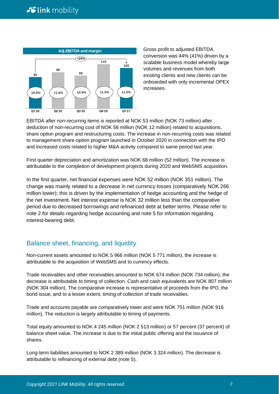

Gross profit to adjusted EBITDA conversion was 44% (41%) driven by a scalable business model whereby large volumes and revenues from both existing clients and new clients can be onboarded with only incremental OPEX increases.

EBITDA after non-recurring items is reported at NOK 53 million (NOK 73 million) after deduction of non-recurring cost of NOK 56 million (NOK 12 million) related to acquisitions, share option program and restructuring costs. The increase in non-recurring costs was related to management share-option program launched in October 2020 in connection with the IPO and increased costs related to higher M&A activity compared to same period last year.

First quarter depreciation and amortization was NOK 68 million (52 million). The increase is attributable to the completion of development projects during 2020 and WebSMS acquisition.

In the first quarter, net financial expenses were NOK 52 million (NOK 351 million). The change was mainly related to a decrease in net currency losses (comparatively NOK 266 million lower); this is driven by the implementation of hedge accounting and the hedge of the net investment. Net interest expense is NOK 32 million less than the comparative period due to decreased borrowings and refinanced debt at better terms. Please refer to note 2 for details regarding hedge accounting and note 5 for information regarding interest-bearing debt.

## Balance sheet, financing, and liquidity

Non-current assets amounted to NOK 5 966 million (NOK 5 771 million), the increase is attributable to the acquisition of WebSMS and to currency effects.

Trade receivables and other receivables amounted to NOK 674 million (NOK 734 million), the decrease is attributable to timing of collection. Cash and cash equivalents are NOK 807 million (NOK 304 million). The comparative increase is representative of proceeds from the IPO, the bond issue, and to a lesser extent, timing of collection of trade receivables.

Trade and accounts payable are comparatively lower and were NOK 751 million (NOK 916 million). The reduction is largely attributable to timing of payments.

Total equity amounted to NOK 4 245 million (NOK 2 513 million) or 57 percent (37 percent) of balance sheet value. The increase is due to the initial public offering and the issuance of shares.

Long-term liabilities amounted to NOK 2 389 million (NOK 3 324 million). The decrease is attributable to refinancing of external debt (note 5).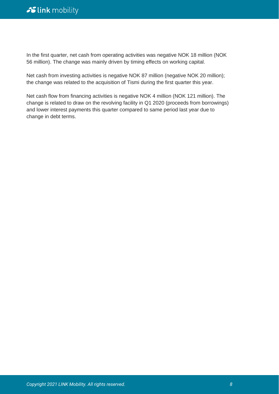In the first quarter, net cash from operating activities was negative NOK 18 million (NOK 56 million). The change was mainly driven by timing effects on working capital.

Net cash from investing activities is negative NOK 87 million (negative NOK 20 million); the change was related to the acquisition of Tismi during the first quarter this year.

Net cash flow from financing activities is negative NOK 4 million (NOK 121 million). The change is related to draw on the revolving facility in Q1 2020 (proceeds from borrowings) and lower interest payments this quarter compared to same period last year due to change in debt terms.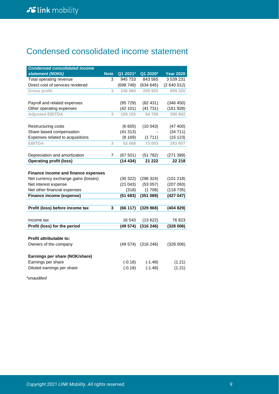# Condensed consolidated income statement

| <b>Condensed consolidated income</b> |             |            |           |                  |
|--------------------------------------|-------------|------------|-----------|------------------|
| statement (NOKk)                     | <b>Note</b> | $Q1$ 2021* | Q1 2020*  | <b>Year 2020</b> |
| Total operating revenue              | 3           | 945 733    | 843 565   | 3 539 231        |
| Direct cost of services rendered     |             | (698748)   | (634645)  | (2640012)        |
| <b>Gross profit</b>                  | 3           | 246 984    | 208 920   | 899 220          |
|                                      |             |            |           |                  |
| Payroll and related expenses         |             | (95729)    | (82431)   | (346 450)        |
| Other operating expenses             |             | (42101)    | (41731)   | (161928)         |
| <b>Adjusted EBITDA</b>               | 3           | 109 155    | 84758     | 390 842          |
|                                      |             |            |           |                  |
| Restructuring costs                  |             | (6605)     | (10043)   | (47 400)         |
| Share based compensation             |             | (41313)    |           | (34711)          |
| Expenses related to acquisitions     |             | (8169)     | (1711)    | (15 123)         |
| <b>EBITDA</b>                        | 3           | 53 068     | 73 003    | 293 607          |
|                                      |             |            |           |                  |
| Depreciation and amortization        | 7           | (67501)    | (51782)   | (271389)         |
| <b>Operating profit (loss)</b>       |             | (14434)    | 21 222    | 22 218           |
|                                      |             |            |           |                  |
| Finance income and finance expenses  |             |            |           |                  |
| Net currency exchange gains (losses) |             | (30322)    | (296 324) | (101 218)        |
| Net interest expense                 |             | (21043)    | (53057)   | (207093)         |
| Net other financial expenses         |             | (318)      | (1708)    | (118735)         |
| Finance income (expense)             |             | (51683)    | (351089)  | (427047)         |
|                                      |             |            |           |                  |
| Profit (loss) before income tax      | 3           | (66 117)   | (329 868) | (404829)         |
|                                      |             |            |           |                  |
| Income tax                           |             | 16 543     | (13622)   | 76823            |
| Profit (loss) for the period         |             | (49574)    | (316246)  | (328006)         |
|                                      |             |            |           |                  |
| <b>Profit attributable to:</b>       |             |            |           |                  |
| Owners of the company                |             | (49574)    | (316 246) | (328006)         |
|                                      |             |            |           |                  |
| Earnings per share (NOK/share)       |             |            |           |                  |
| Earnings per share                   |             | $(-0.18)$  | $(-1.48)$ | (1.21)           |
| Diluted earnings per share           |             | $(-0.18)$  | $(-1.48)$ | (1.21)           |
|                                      |             |            |           |                  |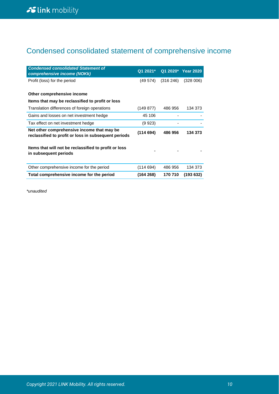# Condensed consolidated statement of comprehensive income

| <b>Condensed consolidated Statement of</b><br>comprehensive income (NOKk)                          | Q1 2021*  |          | Q1 2020* Year 2020 |
|----------------------------------------------------------------------------------------------------|-----------|----------|--------------------|
| Profit (loss) for the period                                                                       | (49 574)  | (316246) | (328006)           |
| Other comprehensive income                                                                         |           |          |                    |
| Items that may be reclassified to profit or loss                                                   |           |          |                    |
| Translation differences of foreign operations                                                      | (149 877) | 486 956  | 134 373            |
| Gains and losses on net investment hedge                                                           | 45 106    |          |                    |
| Tax effect on net investment hedge                                                                 | (9923)    |          |                    |
| Net other comprehensive income that may be<br>reclassified to profit or loss in subsequent periods | (114694)  | 486 956  | 134 373            |
| Items that will not be reclassified to profit or loss<br>in subsequent periods                     |           |          |                    |
| Other comprehensive income for the period                                                          | (114694)  | 486 956  | 134 373            |
| Total comprehensive income for the period                                                          | (164268)  | 170 710  | (193632)           |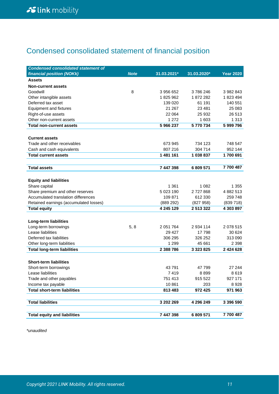# Condensed consolidated statement of financial position

| <b>Condensed consolidated statement of</b>                              |             |             |               |                  |
|-------------------------------------------------------------------------|-------------|-------------|---------------|------------------|
| financial position (NOKk)                                               | <b>Note</b> | 31.03.2021* | 31.03.2020*   | <b>Year 2020</b> |
| <b>Assets</b>                                                           |             |             |               |                  |
| <b>Non-current assets</b>                                               |             |             |               |                  |
| Goodwill                                                                | 8           | 3 956 652   | 3786246       | 3 982 843        |
| Other intangible assets                                                 |             | 1825962     | 1872282       | 1823494          |
| Deferred tax asset                                                      |             | 139 020     | 61 191        | 140 551          |
| <b>Equipment and fixtures</b>                                           |             | 21 267      | 23 4 8 1      | 25 083           |
| Right-of-use assets                                                     |             | 22 064      | 25 932        | 26 513           |
| Other non-current assets                                                |             | 1 2 7 2     | 1 603         | 1 3 1 3          |
| <b>Total non-current assets</b>                                         |             | 5 966 237   | 5770734       | 5 999 796        |
|                                                                         |             |             |               |                  |
| <b>Current assets</b>                                                   |             |             |               |                  |
| Trade and other receivables                                             |             | 673 945     | 734 123       | 748 547          |
| Cash and cash equivalents                                               |             | 807 216     | 304 714       | 952 144          |
| <b>Total current assets</b>                                             |             | 1 481 161   | 1 038 837     | 1700 691         |
|                                                                         |             |             |               | 7700487          |
| <b>Total assets</b>                                                     |             | 7 447 398   | 6 809 571     |                  |
|                                                                         |             |             |               |                  |
| <b>Equity and liabilities</b>                                           |             | 1 3 6 1     | 1 0 8 2       | 1 355            |
| Share capital                                                           |             | 5 023 190   | 2727868       | 4 882 513        |
| Share premium and other reserves<br>Accumulated translation differences |             | 109 871     | 612 330       | 259 748          |
| Retained earnings (accumulated losses)                                  |             | (889 292)   | (827958)      | (839718)         |
| <b>Total equity</b>                                                     |             | 4 245 129   | 2 513 322     | 4 303 897        |
|                                                                         |             |             |               |                  |
| Long-term liabilities                                                   |             |             |               |                  |
| Long-term borrowings                                                    | 5, 8        | 2 051 764   | 2 934 114     | 2 078 515        |
| Lease liabilities                                                       |             | 29 4 27     | 17798         | 30 624           |
| Deferred tax liabilities                                                |             | 306 295     | 326 252       | 313 090          |
| Other long-term liabilities                                             |             | 1 2 9 9     | 45 661        | 2 3 9 8          |
| <b>Total long-term liabilities</b>                                      |             | 2 388 786   | 3 3 2 3 8 2 5 | 2 4 2 4 6 2 8    |
|                                                                         |             |             |               |                  |
| <b>Short-term liabilities</b>                                           |             |             |               |                  |
| Short-term borrowings                                                   |             | 43791       | 47 799        | 27 244           |
| Lease liabilities                                                       |             | 7419        | 8899          | 8619             |
| Trade and other payables                                                |             | 751 413     | 915 522       | 927 171          |
| Income tax payable                                                      |             | 10861       | 203           | 8928             |
| <b>Total short-term liabilities</b>                                     |             | 813 483     | 972 425       | 971 963          |
|                                                                         |             |             |               |                  |
| <b>Total liabilities</b>                                                |             | 3 202 269   | 4 296 249     | 3 396 590        |
|                                                                         |             |             |               |                  |
| <b>Total equity and liabilities</b>                                     |             | 7 447 398   | 6 809 571     | 7700487          |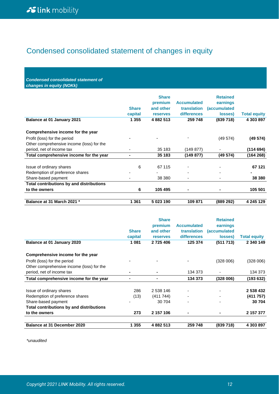# Condensed consolidated statement of changes in equity

*Condensed consolidated statement of changes in equity (NOKk)*

| <b>Balance at 01 January 2021</b>               | <b>Share</b><br>capital<br>1 355 | <b>Share</b><br>premium<br>and other<br><b>reserves</b><br>4 882 513 | <b>Accumulated</b><br><b>translation</b><br><b>differences</b><br>259 748 | <b>Retained</b><br>earnings<br><i>(accumulated)</i><br>losses)<br>(839718) | <b>Total equity</b><br>4 303 897 |
|-------------------------------------------------|----------------------------------|----------------------------------------------------------------------|---------------------------------------------------------------------------|----------------------------------------------------------------------------|----------------------------------|
| Comprehensive income for the year               |                                  |                                                                      |                                                                           |                                                                            |                                  |
| Profit (loss) for the period                    |                                  |                                                                      |                                                                           | (49574)                                                                    | (49 574)                         |
| Other comprehensive income (loss) for the       |                                  |                                                                      |                                                                           |                                                                            |                                  |
| period, net of income tax                       | ۰                                | 35 183                                                               | (149 877)                                                                 |                                                                            | (114694)                         |
| Total comprehensive income for the year         |                                  | 35 183                                                               | (149 877)                                                                 | (49574)                                                                    | (164 268)                        |
| Issue of ordinary shares                        | 6                                | 67 115                                                               |                                                                           |                                                                            | 67 121                           |
| Redemption of preference shares                 |                                  |                                                                      | -                                                                         | $\overline{\phantom{0}}$                                                   |                                  |
| Share-based payment                             |                                  | 38 380                                                               | -                                                                         | $\overline{\phantom{0}}$                                                   | 38 380                           |
| <b>Total contributions by and distributions</b> |                                  |                                                                      |                                                                           |                                                                            |                                  |
| to the owners                                   | 6                                | 105 495                                                              | $\blacksquare$                                                            |                                                                            | 105 501                          |
| Balance at 31 March 2021 *                      | 1 361                            | 5 023 190                                                            | 109 871                                                                   | (889 292)                                                                  | 4 245 129                        |

| Balance at 01 January 2020                | <b>Share</b><br>capital<br>1 0 8 1 | <b>Share</b><br>premium<br>and other<br><b>reserves</b><br>2 725 406 | <b>Accumulated</b><br><b>translation</b><br>differences<br>125 374 | <b>Retained</b><br>earnings<br><i>(accumulated</i><br>losses)<br>(511713) | <b>Total equity</b><br>2 340 149 |
|-------------------------------------------|------------------------------------|----------------------------------------------------------------------|--------------------------------------------------------------------|---------------------------------------------------------------------------|----------------------------------|
| Comprehensive income for the year         |                                    |                                                                      |                                                                    |                                                                           |                                  |
| Profit (loss) for the period              |                                    |                                                                      |                                                                    | (328006)                                                                  | (328006)                         |
| Other comprehensive income (loss) for the |                                    |                                                                      |                                                                    |                                                                           |                                  |
| period, net of income tax                 | ۰                                  |                                                                      | 134 373                                                            |                                                                           | 134 373                          |
| Total comprehensive income for the year   | $\blacksquare$                     |                                                                      | 134 373                                                            | (328006)                                                                  | (193 632)                        |
| Issue of ordinary shares                  | 286                                | 2 538 146                                                            |                                                                    |                                                                           | 2 538 432                        |
| Redemption of preference shares           | (13)                               | (411744)                                                             | $\qquad \qquad \blacksquare$                                       |                                                                           | (411757)                         |
| Share-based payment                       |                                    | 30 704                                                               |                                                                    |                                                                           | 30 704                           |
| Total contributions by and distributions  |                                    |                                                                      |                                                                    |                                                                           |                                  |
| to the owners                             | 273                                | 2 157 106                                                            | $\blacksquare$                                                     |                                                                           | 2 157 377                        |
| <b>Balance at 31 December 2020</b>        | 1 355                              | 4 882 513                                                            | 259 748                                                            | (839 718)                                                                 | 4 303 897                        |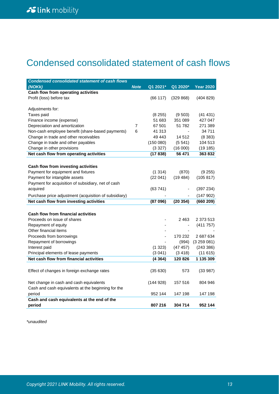# Condensed consolidated statement of cash flows

| <b>Condensed consolidated statement of cash flows</b> |                |          |           |                  |
|-------------------------------------------------------|----------------|----------|-----------|------------------|
| (NOKK)                                                | <b>Note</b>    | Q1 2021* | Q1 2020*  | <b>Year 2020</b> |
| Cash flow from operating activities                   |                |          |           |                  |
| Profit (loss) before tax                              |                | (66 117) | (329 868) | (404829)         |
|                                                       |                |          |           |                  |
| Adjustments for:                                      |                |          |           |                  |
| Taxes paid                                            |                | (8255)   | (9503)    | (41 431)         |
| Finance income (expense)                              |                | 51 683   | 351 089   | 427 047          |
| Depreciation and amortization                         | $\overline{7}$ | 67 501   | 51 782    | 271 389          |
| Non-cash employee benefit (share-based payments)      | 6              | 41 313   |           | 34 711           |
| Change in trade and other receivables                 |                | 49 443   | 14 5 12   | (8383)           |
| Change in trade and other payables                    |                | (150080) | (5.541)   | 104 513          |
| Change in other provisions                            |                | (3327)   | (16000)   | (19185)          |
| Net cash flow from operating activities               |                | (17838)  | 56 471    | 363832           |
|                                                       |                |          |           |                  |
| Cash flow from investing activities                   |                |          |           |                  |
| Payment for equipment and fixtures                    |                | (1314)   | (870)     | (9255)           |
| Payment for intangible assets                         |                | (22041)  | (19484)   | (105 817)        |
| Payment for acquisition of subsidiary, net of cash    |                |          |           |                  |
| acquired                                              |                | (63741)  |           | (397 234)        |
| Purchase price adjustment (acquisition of subsidiary) |                |          |           | (147902)         |
| Net cash flow from investing activities               |                | (87096)  | (20354)   | (660 209)        |
|                                                       |                |          |           |                  |
| Cash flow from financial activities                   |                |          |           |                  |
| Proceeds on issue of shares                           |                |          | 2463      | 2 373 513        |
| Repayment of equity                                   |                |          |           | (411 757)        |
| Other financial items                                 |                |          |           |                  |
| Proceeds from borrowings                              |                |          | 170 232   | 2 687 634        |
| Repayment of borrowings                               |                |          | (994)     | (3259081)        |
| Interest paid                                         |                | (1323)   | (47 457)  | (243 386)        |
| Principal elements of lease payments                  |                | (3041)   | (3418)    | (11615)          |
| Net cash flow from financial activities               |                | (4364)   | 120 826   | 1 135 309        |
|                                                       |                |          |           |                  |
| Effect of changes in foreign exchange rates           |                | (35630)  | 573       | (33987)          |
|                                                       |                |          |           |                  |
| Net change in cash and cash equivalents               |                | (144928) | 157 516   | 804 946          |
| Cash and cash equivalents at the beginning for the    |                |          |           |                  |
| period                                                |                | 952 144  | 147 198   | 147 198          |
| Cash and cash equivalents at the end of the           |                |          |           |                  |
| period                                                |                | 807 216  | 304 714   | 952 144          |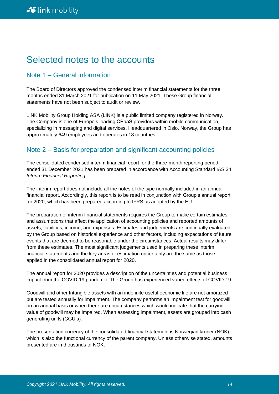# Selected notes to the accounts

## Note 1 – General information

The Board of Directors approved the condensed interim financial statements for the three months ended 31 March 2021 for publication on 11 May 2021. These Group financial statements have not been subject to audit or review.

LINK Mobility Group Holding ASA (LINK) is a public limited company registered in Norway. The Company is one of Europe's leading CPaaS providers within mobile communication, specializing in messaging and digital services. Headquartered in Oslo, Norway, the Group has approximately 649 employees and operates in 18 countries.

## Note 2 – Basis for preparation and significant accounting policies

The consolidated condensed interim financial report for the three-month reporting period ended 31 December 2021 has been prepared in accordance with Accounting Standard IAS 34 *Interim Financial Reporting*.

The interim report does not include all the notes of the type normally included in an annual financial report. Accordingly, this report is to be read in conjunction with Group's annual report for 2020, which has been prepared according to IFRS as adopted by the EU.

The preparation of interim financial statements requires the Group to make certain estimates and assumptions that affect the application of accounting policies and reported amounts of assets, liabilities, income, and expenses. Estimates and judgements are continually evaluated by the Group based on historical experience and other factors, including expectations of future events that are deemed to be reasonable under the circumstances. Actual results may differ from these estimates. The most significant judgements used in preparing these interim financial statements and the key areas of estimation uncertainty are the same as those applied in the consolidated annual report for 2020.

The annual report for 2020 provides a description of the uncertainties and potential business impact from the COVID-19 pandemic. The Group has experienced varied effects of COVID-19.

Goodwill and other Intangible assets with an indefinite useful economic life are not amortized but are tested annually for impairment. The company performs an impairment test for goodwill on an annual basis or when there are circumstances which would indicate that the carrying value of goodwill may be impaired. When assessing impairment, assets are grouped into cash generating units (CGU's).

The presentation currency of the consolidated financial statement is Norwegian kroner (NOK), which is also the functional currency of the parent company. Unless otherwise stated, amounts presented are in thousands of NOK.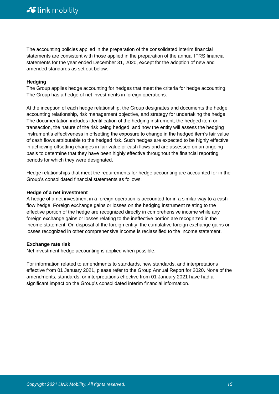The accounting policies applied in the preparation of the consolidated interim financial statements are consistent with those applied in the preparation of the annual IFRS financial statements for the year ended December 31, 2020, except for the adoption of new and amended standards as set out below.

#### **Hedging**

The Group applies hedge accounting for hedges that meet the criteria for hedge accounting. The Group has a hedge of net investments in foreign operations.

At the inception of each hedge relationship, the Group designates and documents the hedge accounting relationship, risk management objective, and strategy for undertaking the hedge. The documentation includes identification of the hedging instrument, the hedged item or transaction, the nature of the risk being hedged, and how the entity will assess the hedging instrument's effectiveness in offsetting the exposure to change in the hedged item's fair value of cash flows attributable to the hedged risk. Such hedges are expected to be highly effective in achieving offsetting changes in fair value or cash flows and are assessed on an ongoing basis to determine that they have been highly effective throughout the financial reporting periods for which they were designated.

Hedge relationships that meet the requirements for hedge accounting are accounted for in the Group's consolidated financial statements as follows:

#### **Hedge of a net investment**

A hedge of a net investment in a foreign operation is accounted for in a similar way to a cash flow hedge. Foreign exchange gains or losses on the hedging instrument relating to the effective portion of the hedge are recognized directly in comprehensive income while any foreign exchange gains or losses relating to the ineffective portion are recognized in the income statement. On disposal of the foreign entity, the cumulative foreign exchange gains or losses recognized in other comprehensive income is reclassified to the income statement.

#### **Exchange rate risk**

Net investment hedge accounting is applied when possible.

For information related to amendments to standards, new standards, and interpretations effective from 01 January 2021, please refer to the Group Annual Report for 2020. None of the amendments, standards, or interpretations effective from 01 January 2021 have had a significant impact on the Group's consolidated interim financial information.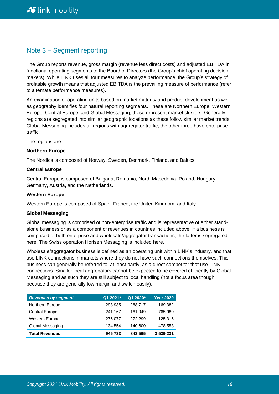## Note 3 – Segment reporting

The Group reports revenue, gross margin (revenue less direct costs) and adjusted EBITDA in functional operating segments to the Board of Directors (the Group's chief operating decision makers). While LINK uses all four measures to analyze performance, the Group's strategy of profitable growth means that adjusted EBITDA is the prevailing measure of performance (refer to alternate performance measures).

An examination of operating units based on market maturity and product development as well as geography identifies four natural reporting segments. These are Northern Europe, Western Europe, Central Europe, and Global Messaging; these represent market clusters. Generally, regions are segregated into similar geographic locations as these follow similar market trends. Global Messaging includes all regions with aggregator traffic; the other three have enterprise traffic.

The regions are:

#### **Northern Europe**

The Nordics is composed of Norway, Sweden, Denmark, Finland, and Baltics.

#### **Central Europe**

Central Europe is composed of Bulgaria, Romania, North Macedonia, Poland, Hungary, Germany, Austria, and the Netherlands.

#### **Western Europe**

Western Europe is composed of Spain, France, the United Kingdom, and Italy.

#### **Global Messaging**

Global messaging is comprised of non-enterprise traffic and is representative of either standalone business or as a component of revenues in countries included above. If a business is comprised of both enterprise and wholesale/aggregator transactions, the latter is segregated here. The Swiss operation Horisen Messaging is included here.

Wholesale/aggregator business is defined as an operating unit within LINK's industry, and that use LINK connections in markets where they do not have such connections themselves. This business can generally be referred to, at least partly, as a direct competitor that use LINK connections. Smaller local aggregators cannot be expected to be covered efficiently by Global Messaging and as such they are still subject to local handling (not a focus area though because they are generally low margin and switch easily).

| <b>Revenues by segment</b> | Q1 2021* | Q1 2020* | <b>Year 2020</b> |
|----------------------------|----------|----------|------------------|
| Northern Europe            | 293 935  | 268 717  | 1 169 382        |
| <b>Central Europe</b>      | 241 167  | 161 949  | 765 980          |
| Western Europe             | 276 077  | 272 299  | 1 125 316        |
| Global Messaging           | 134 554  | 140 600  | 478 553          |
| <b>Total Revenues</b>      | 945 733  | 843 565  | 3 539 231        |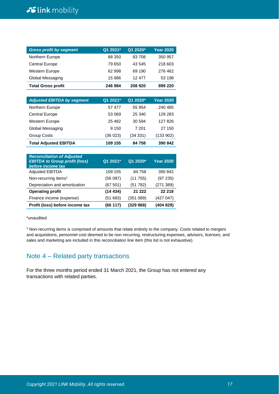# Slink mobility

| <b>Gross profit by segment</b> | Q1 2021* | Q1 2020* | <b>Year 2020</b> |
|--------------------------------|----------|----------|------------------|
| Northern Europe                | 88 350   | 83 708   | 350 957          |
| <b>Central Europe</b>          | 79 650   | 43 545   | 218 603          |
| Western Europe                 | 62 998   | 69 190   | 276 462          |
| Global Messaging               | 15 986   | 12 477   | 53 198           |
| <b>Total Gross profit</b>      | 246 984  | 208 920  | 899 220          |

| <b>Adjusted EBITDA by segment</b> | Q1 2021* | Q1 2020* | <b>Year 2020</b> |
|-----------------------------------|----------|----------|------------------|
| Northern Europe                   | 57 477   | 55 954   | 240 485          |
| <b>Central Europe</b>             | 53 069   | 25 340   | 129 283          |
| <b>Western Europe</b>             | 25 4 82  | 30 594   | 127826           |
| Global Messaging                  | 9 1 5 0  | 7 201    | 27 150           |
| <b>Group Costs</b>                | (36 023) | (34331)  | (133902)         |
| <b>Total Adjusted EBITDA</b>      | 109 155  | 84 758   | 390 842          |

| <b>Reconciliation of Adjusted</b><br><b>EBITDA to Group profit (loss)</b><br>before income tax | Q1 2021* | Q1 2020*  | <b>Year 2020</b> |
|------------------------------------------------------------------------------------------------|----------|-----------|------------------|
| <b>Adjusted EBITDA</b>                                                                         | 109 155  | 84 758    | 390 842          |
| Non-recurring items <sup>1</sup>                                                               | (56 087) | (11755)   | (97 235)         |
| Depreciation and amortization                                                                  | (67 501) | (51782)   | (271389)         |
| <b>Operating profit</b>                                                                        | (14434)  | 21 222    | 22 218           |
| Finance income (expense)                                                                       | (51 683) | (351 089) | (427 047)        |
| Profit (loss) before income tax                                                                | (66117)  | (329 868) | (404 829)        |

\*unaudited

<sup>1</sup> Non-recurring items is comprised of amounts that relate entirely to the company. Costs related to mergers and acquisitions, personnel cost deemed to be non-recurring, restructuring expenses, advisors, licenses, and sales and marketing are included in this reconciliation line item (this list is not exhaustive).

## Note 4 – Related party transactions

For the three months period ended 31 March 2021, the Group has not entered any transactions with related parties.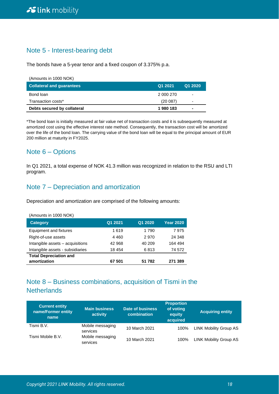## Note 5 - Interest-bearing debt

The bonds have a 5-year tenor and a fixed coupon of 3.375% p.a.

| (Amounts in 1000 NOK)            |           |         |
|----------------------------------|-----------|---------|
| <b>Collateral and quarantees</b> | Q1 2021   | Q1 2020 |
| Bond loan                        | 2 000 270 |         |
| Transaction costs*               | (20087)   | -       |
| Debts secured by collateral      | 1980183   |         |

\*The bond loan is initially measured at fair value net of transaction costs and it is subsequently measured at amortized cost using the effective interest rate method. Consequently, the transaction cost will be amortized over the life of the bond loan. The carrying value of the bond loan will be equal to the principal amount of EUR 200 million at maturity in FY2025.

## Note 6 – Options

In Q1 2021, a total expense of NOK 41.3 million was recognized in relation to the RSU and LTI program.

## Note 7 – Depreciation and amortization

Depreciation and amortization are comprised of the following amounts:

| Q1 2021 | Q1 2020 | <b>Year 2020</b> |
|---------|---------|------------------|
| 1619    | 1 7 9 0 | 7975             |
| 4460    | 2970    | 24 348           |
| 42 968  | 40 209  | 164 494          |
| 18 454  | 6813    | 74 572           |
|         |         |                  |
| 67 501  | 51 782  | 271 389          |
|         |         |                  |

## Note 8 – Business combinations, acquisition of Tismi in the **Netherlands**

| <b>Current entity</b><br>name/Former entity<br>name | <b>Main business</b><br>activity | Date of business<br>combination | <b>Proportion</b><br>of voting<br>equity<br>acquired | <b>Acquiring entity</b>       |
|-----------------------------------------------------|----------------------------------|---------------------------------|------------------------------------------------------|-------------------------------|
| Tismi B.V.                                          | Mobile messaging<br>services     | 10 March 2021                   | 100%                                                 | <b>LINK Mobility Group AS</b> |
| Tismi Mobile B.V.                                   | Mobile messaging<br>services     | 10 March 2021                   | 100%                                                 | <b>LINK Mobility Group AS</b> |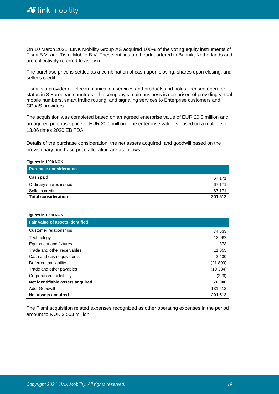On 10 March 2021, LINK Mobility Group AS acquired 100% of the voting equity instruments of Tismi B.V. and Tismi Mobile B.V. These entities are headquartered in Bunnik, Netherlands and are collectively referred to as Tismi.

The purchase price is settled as a combination of cash upon closing, shares upon closing, and seller's credit.

Tismi is a provider of telecommunication services and products and holds licensed operator status in 8 European countries. The company's main business is comprised of providing virtual mobile numbers, smart traffic routing, and signaling services to Enterprise customers and CPaaS providers.

The acquisition was completed based on an agreed enterprise value of EUR 20.0 million and an agreed purchase price of EUR 20.0 million. The enterprise value is based on a multiple of 13.06 times 2020 EBITDA.

Details of the purchase consideration, the net assets acquired, and goodwill based on the provisionary purchase price allocation are as follows:

#### **Figures in 1000 NOK**

| <b>Purchase consideration</b> |         |
|-------------------------------|---------|
| Cash paid                     | 67 171  |
| Ordinary shares issued        | 67 171  |
| Seller's credit               | 67 171  |
| <b>Total consideration</b>    | 201 512 |

#### **Figures in 1000 NOK**

| <b>Fair value of assets identified</b> |         |
|----------------------------------------|---------|
| Customer relationships                 | 74 633  |
| Technology                             | 12 962  |
| Equipment and fixtures                 | 378     |
| Trade and other receivables            | 11 055  |
| Cash and cash equivalents              | 3430    |
| Deferred tax liability                 | (21899) |
| Trade and other payables               | (10334) |
| Corporation tax liability              | (226)   |
| Net identifiable assets acquired       | 70 000  |
| Add: Goodwill                          | 131 512 |
| Net assets acquired                    | 201 512 |

The Tismi acquisition related expenses recognized as other operating expenses in the period amount to NOK 2.553 million.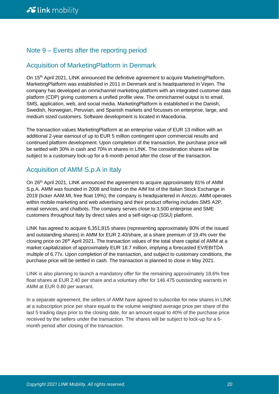## Note 9 – Events after the reporting period

## Acquisition of MarketingPlatform in Denmark

On 15<sup>th</sup> April 2021, LINK announced the definitive agreement to acquire MarketingPlatform. MarketingPlatform was established in 2011 in Denmark and is headquartered in Vejen. The company has developed an omnichannel marketing platform with an integrated customer data platform (CDP) giving customers a unified profile view. The omnichannel output is to email, SMS, application, web, and social media. MarketingPlatform is established in the Danish, Swedish, Norwegian, Peruvian, and Spanish markets and focusses on enterprise, large, and medium sized customers. Software development is located in Macedonia.

The transaction values MarketingPlatform at an enterprise value of EUR 13 million with an additional 2-year earnout of up to EUR 5 million contingent upon commercial results and continued platform development. Upon completion of the transaction, the purchase price will be settled with 30% in cash and 70% in shares in LINK. The consideration shares will be subject to a customary lock-up for a 6-month period after the close of the transaction.

## Acquisition of AMM S.p.A in Italy

On 26th April 2021, LINK announced the agreement to acquire approximately 81% of AMM S.p.A. AMM was founded in 2008 and listed on the AIM list of the Italian Stock Exchange in 2019 (ticker AAM.MI, free float 19%); the company is headquartered in Arezzo. AMM operates within mobile marketing and web advertising and their product offering includes SMS A2P, email services, and chatbots. The company serves close to 3,500 enterprise and SME customers throughout Italy by direct sales and a self-sign-up (SSU) platform.

LINK has agreed to acquire 6,351,815 shares (representing approximately 80% of the issued and outstanding shares) in AMM for EUR 2.40/share, at a share premium of 19.4% over the closing price on 26th April 2021. The transaction values of the total share capital of AMM at a market capitalization of approximately EUR 18.7 million, implying a forecasted EV/EBITDA multiple of 6.77x. Upon completion of the transaction, and subject to customary conditions, the purchase price will be settled in cash. The transaction is planned to close in May 2021.

LINK is also planning to launch a mandatory offer for the remaining approximately 18,6% free float shares at EUR 2.40 per share and a voluntary offer for 146.475 outstanding warrants in AMM at EUR 0.80 per warrant.

In a separate agreement, the sellers of AMM have agreed to subscribe for new shares in LINK at a subscription price per share equal to the volume weighted average price per share of the last 5 trading days prior to the closing date, for an amount equal to 40% of the purchase price received by the sellers under the transaction. The shares will be subject to lock-up for a 6 month period after closing of the transaction.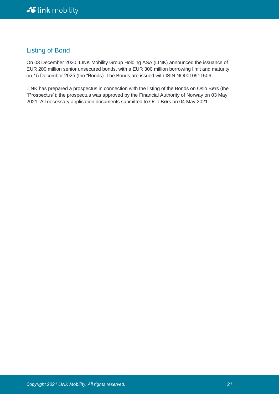## Listing of Bond

On 03 December 2020, LINK Mobility Group Holding ASA (LINK) announced the issuance of EUR 200 million senior unsecured bonds, with a EUR 300 million borrowing limit and maturity on 15 December 2025 (the "Bonds). The Bonds are issued with ISIN NO0010911506.

LINK has prepared a prospectus in connection with the listing of the Bonds on Oslo Børs (the "Prospectus"); the prospectus was approved by the Financial Authority of Norway on 03 May 2021. All necessary application documents submitted to Oslo Børs on 04 May 2021.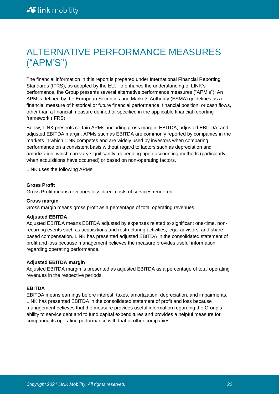# ALTERNATIVE PERFORMANCE MEASURES ("APM'S")

The financial information in this report is prepared under International Financial Reporting Standards (IFRS), as adopted by the EU. To enhance the understanding of LINK's performance, the Group presents several alternative performance measures ("APM's"). An APM is defined by the European Securities and Markets Authority (ESMA) guidelines as a financial measure of historical or future financial performance, financial position, or cash flows, other than a financial measure defined or specified in the applicable financial reporting framework (IFRS).

Below, LINK presents certain APMs, including gross margin, EBITDA, adjusted EBITDA, and adjusted EBITDA margin. APMs such as EBITDA are commonly reported by companies in the markets in which LINK competes and are widely used by investors when comparing performance on a consistent basis without regard to factors such as depreciation and amortization, which can vary significantly, depending upon accounting methods (particularly when acquisitions have occurred) or based on non-operating factors.

LINK uses the following APMs:

#### **Gross Profit**

Gross Profit means revenues less direct costs of services rendered.

#### **Gross margin**

Gross margin means gross profit as a percentage of total operating revenues.

#### **Adjusted EBITDA**

Adjusted EBITDA means EBITDA adjusted by expenses related to significant one-time, nonrecurring events such as acquisitions and restructuring activities, legal advisors, and sharebased compensation. LINK has presented adjusted EBITDA in the consolidated statement of profit and loss because management believes the measure provides useful information regarding operating performance.

#### **Adjusted EBITDA margin**

Adjusted EBITDA margin is presented as adjusted EBITDA as a percentage of total operating revenues in the respective periods.

#### **EBITDA**

EBITDA means earnings before interest, taxes, amortization, depreciation, and impairments. LINK has presented EBITDA in the consolidated statement of profit and loss because management believes that the measure provides useful information regarding the Group's ability to service debt and to fund capital expenditures and provides a helpful measure for comparing its operating performance with that of other companies.